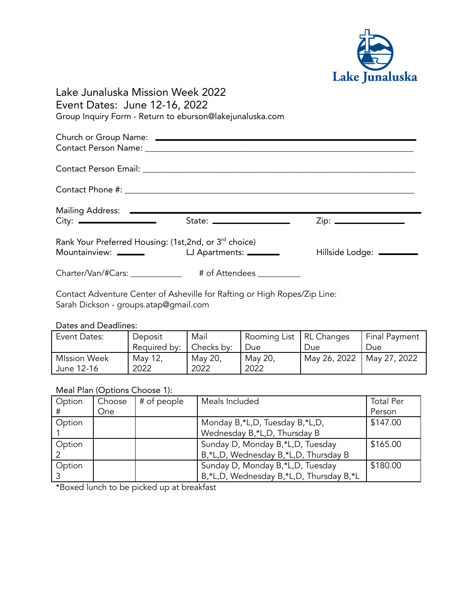

# Lake Junaluska Mission Week 2022 Event Dates: June 12-16, 2022 Group Inquiry Form - Return to eburson@lakejunaluska.com

|                                                                                                                                        |                           | $Zip: \begin{tabular}{ c c c } \hline \quad \quad & \quad \quad & \quad \quad \\ \hline \end{tabular}$ |  |  |  |
|----------------------------------------------------------------------------------------------------------------------------------------|---------------------------|--------------------------------------------------------------------------------------------------------|--|--|--|
| Rank Your Preferred Housing: (1st, 2nd, or 3rd choice)<br>Hillside Lodge: ________<br>LJ Apartments: ________<br>Mountainview: _______ |                           |                                                                                                        |  |  |  |
| Charter/Van/#Cars: _____________                                                                                                       | # of Attendees __________ |                                                                                                        |  |  |  |

Contact Adventure Center of Asheville for Rafting or High Ropes/Zip Line: Sarah Dickson - groups.atap@gmail.com

#### Dates and Deadlines:

| Event Dates:        | Deposit      | Mail       | Rooming List   RL Changes |              | <b>Final Payment</b> |
|---------------------|--------------|------------|---------------------------|--------------|----------------------|
|                     | Required by: | Checks by: | Due                       | Due.         | Due                  |
| <b>MIssion Week</b> | May 12,      | May 20,    | May 20,                   | May 26, 2022 | May 27, 2022         |
| June 12-16          | 2022         | 2022       | 2022                      |              |                      |

### Meal Plan (Options Choose 1):

| Option | Choose | # of people | Meals Included                          | <b>Total Per</b> |
|--------|--------|-------------|-----------------------------------------|------------------|
|        | One    |             |                                         | Person           |
| Option |        |             | Monday B,*L,D, Tuesday B,*L,D,          | \$147.00         |
|        |        |             | Wednesday B,*L,D, Thursday B            |                  |
| Option |        |             | Sunday D, Monday B,*L,D, Tuesday        | \$165.00         |
|        |        |             | B,*L,D, Wednesday B,*L,D, Thursday B    |                  |
| Option |        |             | Sunday D, Monday B,*L,D, Tuesday        | \$180.00         |
|        |        |             | B,*L,D, Wednesday B,*L,D, Thursday B,*L |                  |

\*Boxed lunch to be picked up at breakfast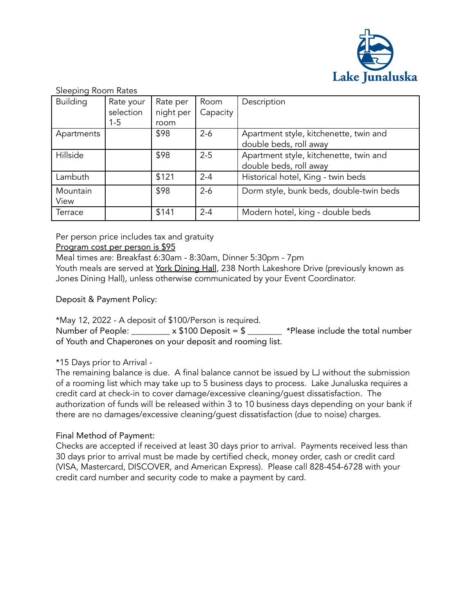

Sleeping Room Rates

| <b>Building</b> | Rate your | Rate per  | Room     | Description                             |
|-----------------|-----------|-----------|----------|-----------------------------------------|
|                 | selection | night per | Capacity |                                         |
|                 | $1 - 5$   | room      |          |                                         |
| Apartments      |           | \$98      | $2 - 6$  | Apartment style, kitchenette, twin and  |
|                 |           |           |          | double beds, roll away                  |
| Hillside        |           | \$98      | $2 - 5$  | Apartment style, kitchenette, twin and  |
|                 |           |           |          | double beds, roll away                  |
| Lambuth         |           | \$121     | $2 - 4$  | Historical hotel, King - twin beds      |
| Mountain        |           | \$98      | $2 - 6$  | Dorm style, bunk beds, double-twin beds |
| View            |           |           |          |                                         |
| Terrace         |           | \$141     | $2 - 4$  | Modern hotel, king - double beds        |

Per person price includes tax and gratuity

### Program cost per person is \$95

Meal times are: Breakfast 6:30am - 8:30am, Dinner 5:30pm - 7pm

Youth meals are served at York Dining Hall, 238 North Lakeshore Drive (previously known as Jones Dining Hall), unless otherwise communicated by your Event Coordinator.

Deposit & Payment Policy:

\*May 12, 2022 - A deposit of \$100/Person is required.

Number of People:  $\_\_\_\_\ x \$  100 Deposit =  $\frac{1}{2}$  \*Please include the total number of Youth and Chaperones on your deposit and rooming list.

\*15 Days prior to Arrival -

The remaining balance is due. A final balance cannot be issued by LJ without the submission of a rooming list which may take up to 5 business days to process. Lake Junaluska requires a credit card at check-in to cover damage/excessive cleaning/guest dissatisfaction. The authorization of funds will be released within 3 to 10 business days depending on your bank if there are no damages/excessive cleaning/guest dissatisfaction (due to noise) charges.

# Final Method of Payment:

Checks are accepted if received at least 30 days prior to arrival. Payments received less than 30 days prior to arrival must be made by certified check, money order, cash or credit card (VISA, Mastercard, DISCOVER, and American Express). Please call 828-454-6728 with your credit card number and security code to make a payment by card.